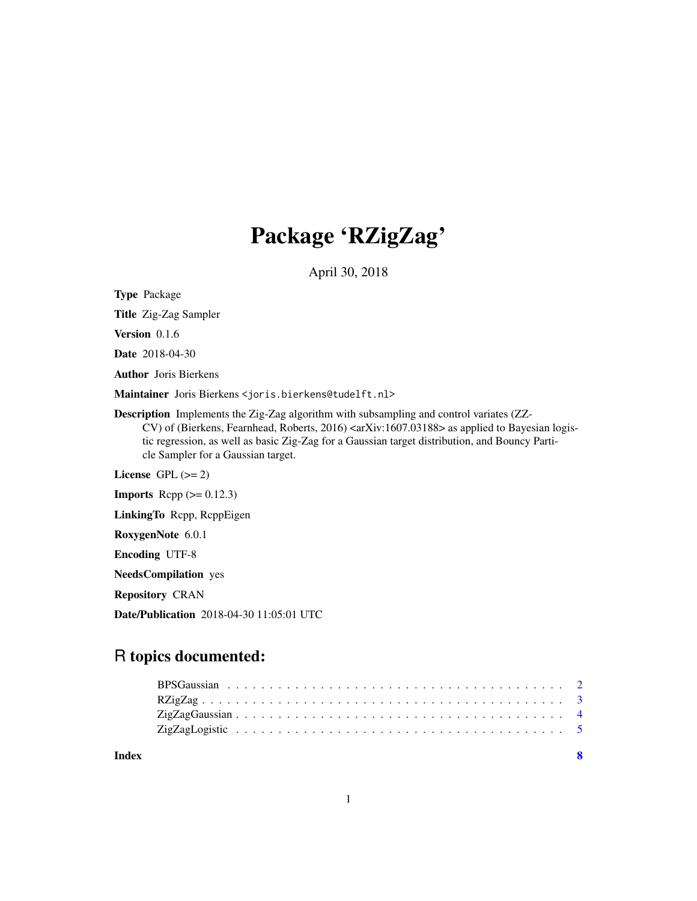# Package 'RZigZag'

April 30, 2018

Type Package

Title Zig-Zag Sampler

Version 0.1.6

Date 2018-04-30

Author Joris Bierkens

Maintainer Joris Bierkens <joris.bierkens@tudelft.nl>

Description Implements the Zig-Zag algorithm with subsampling and control variates (ZZ-CV) of (Bierkens, Fearnhead, Roberts, 2016) <arXiv:1607.03188> as applied to Bayesian logistic regression, as well as basic Zig-Zag for a Gaussian target distribution, and Bouncy Particle Sampler for a Gaussian target.

License GPL  $(>= 2)$ 

**Imports** Rcpp  $(>= 0.12.3)$ 

LinkingTo Rcpp, RcppEigen

RoxygenNote 6.0.1

Encoding UTF-8

NeedsCompilation yes

Repository CRAN

Date/Publication 2018-04-30 11:05:01 UTC

# R topics documented:

| Index |  |  |  |  |  |  |  |  |  |  |  |  |  |  |  |  |  |  |
|-------|--|--|--|--|--|--|--|--|--|--|--|--|--|--|--|--|--|--|
|       |  |  |  |  |  |  |  |  |  |  |  |  |  |  |  |  |  |  |
|       |  |  |  |  |  |  |  |  |  |  |  |  |  |  |  |  |  |  |
|       |  |  |  |  |  |  |  |  |  |  |  |  |  |  |  |  |  |  |
|       |  |  |  |  |  |  |  |  |  |  |  |  |  |  |  |  |  |  |

1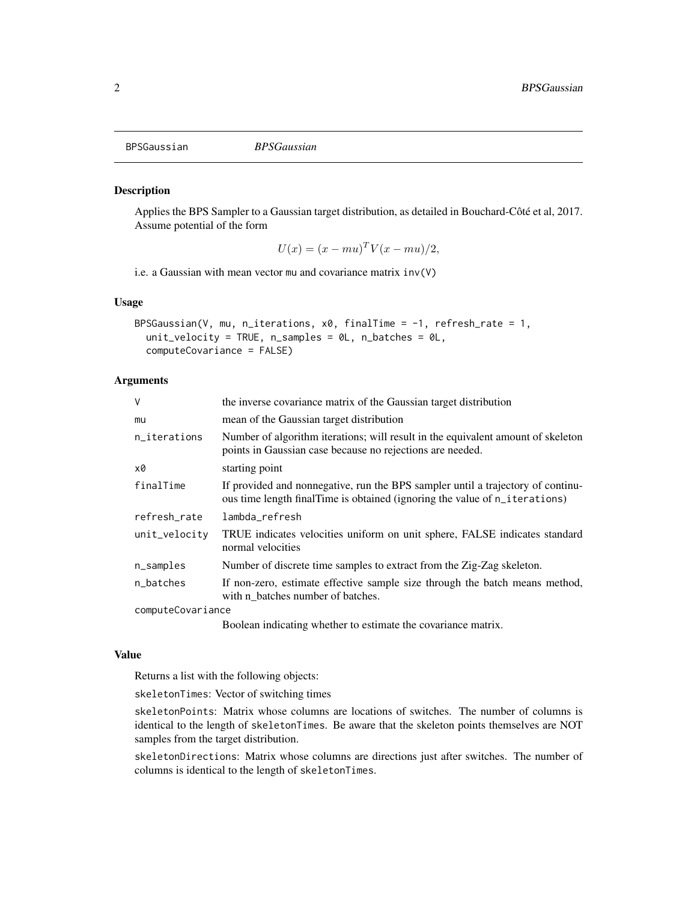<span id="page-1-1"></span><span id="page-1-0"></span>

# Description

Applies the BPS Sampler to a Gaussian target distribution, as detailed in Bouchard-Côté et al, 2017. Assume potential of the form

 $U(x) = (x - mu)^T V(x - mu)/2,$ 

i.e. a Gaussian with mean vector mu and covariance matrix inv(V)

# Usage

```
BPSGaussian(V, mu, n_iterations, x0, finalTime = -1, refresh_rate = 1,
  unit_velocity = TRUE, n_samples = \thetaL, n_batches = \thetaL,
  computeCovariance = FALSE)
```
# **Arguments**

| $\vee$            | the inverse covariance matrix of the Gaussian target distribution                                                                                             |
|-------------------|---------------------------------------------------------------------------------------------------------------------------------------------------------------|
| mu                | mean of the Gaussian target distribution                                                                                                                      |
| n_iterations      | Number of algorithm iterations; will result in the equivalent amount of skeleton<br>points in Gaussian case because no rejections are needed.                 |
| x0                | starting point                                                                                                                                                |
| finalTime         | If provided and nonnegative, run the BPS sampler until a trajectory of continu-<br>ous time length finalTime is obtained (ignoring the value of n_iterations) |
| refresh_rate      | lambda_refresh                                                                                                                                                |
| unit_velocity     | TRUE indicates velocities uniform on unit sphere, FALSE indicates standard<br>normal velocities                                                               |
| n_samples         | Number of discrete time samples to extract from the Zig-Zag skeleton.                                                                                         |
| n_batches         | If non-zero, estimate effective sample size through the batch means method,<br>with n batches number of batches.                                              |
| computeCovariance |                                                                                                                                                               |
|                   | Boolean indicating whether to estimate the covariance matrix.                                                                                                 |

#### Value

Returns a list with the following objects:

skeletonTimes: Vector of switching times

skeletonPoints: Matrix whose columns are locations of switches. The number of columns is identical to the length of skeletonTimes. Be aware that the skeleton points themselves are NOT samples from the target distribution.

skeletonDirections: Matrix whose columns are directions just after switches. The number of columns is identical to the length of skeletonTimes.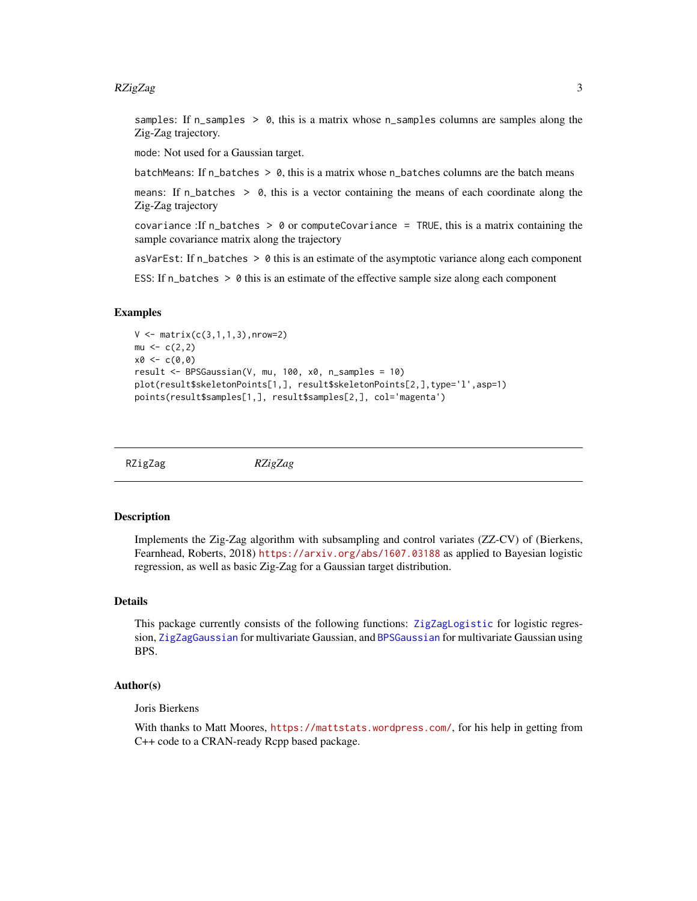# <span id="page-2-0"></span> $RZigZag$  3

samples: If  $n$ \_samples  $> 0$ , this is a matrix whose  $n$ \_samples columns are samples along the Zig-Zag trajectory.

mode: Not used for a Gaussian target.

batchMeans: If  $n_b$  batches  $> 0$ , this is a matrix whose  $n_b$  batches columns are the batch means

means: If  $n$ -batches  $> 0$ , this is a vector containing the means of each coordinate along the Zig-Zag trajectory

covariance : If n\_batches  $> 0$  or computeCovariance = TRUE, this is a matrix containing the sample covariance matrix along the trajectory

asVarEst: If  $n_b$  batches  $> 0$  this is an estimate of the asymptotic variance along each component

ESS: If  $n$  batches  $> 0$  this is an estimate of the effective sample size along each component

# Examples

```
V \leq - matrix(c(3,1,1,3), nrow=2)
mu \leftarrow c(2, 2)x0 \leq -c(0,0)result <- BPSGaussian(V, mu, 100, x0, n_samples = 10)
plot(result$skeletonPoints[1,], result$skeletonPoints[2,],type='l',asp=1)
points(result$samples[1,], result$samples[2,], col='magenta')
```
RZigZag *RZigZag*

# **Description**

Implements the Zig-Zag algorithm with subsampling and control variates (ZZ-CV) of (Bierkens, Fearnhead, Roberts, 2018) <https://arxiv.org/abs/1607.03188> as applied to Bayesian logistic regression, as well as basic Zig-Zag for a Gaussian target distribution.

# Details

This package currently consists of the following functions: [ZigZagLogistic](#page-4-1) for logistic regression, [ZigZagGaussian](#page-3-1) for multivariate Gaussian, and [BPSGaussian](#page-1-1) for multivariate Gaussian using BPS.

# Author(s)

Joris Bierkens

With thanks to Matt Moores, <https://mattstats.wordpress.com/>, for his help in getting from C++ code to a CRAN-ready Rcpp based package.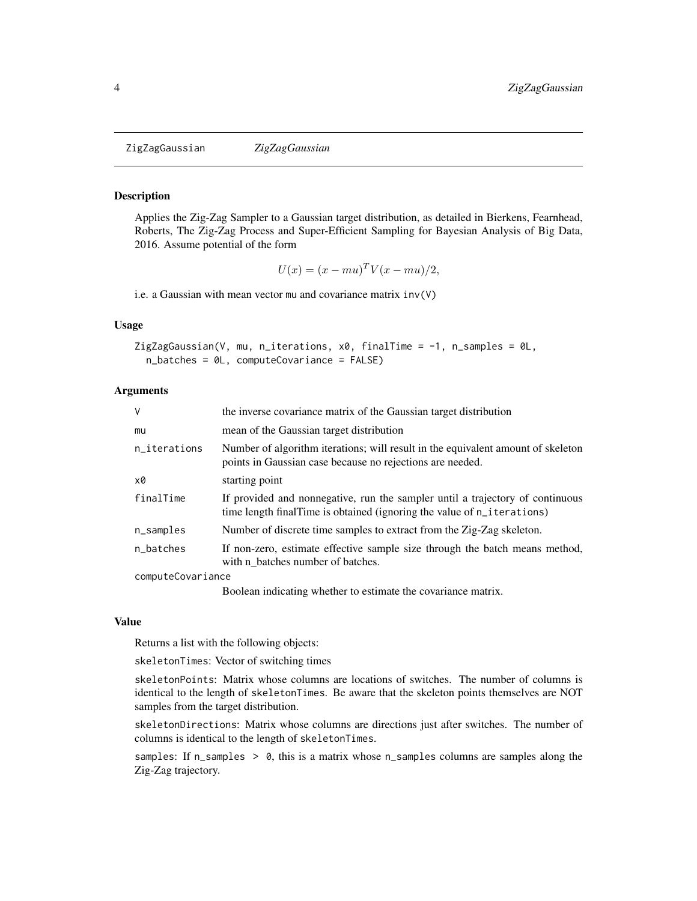<span id="page-3-1"></span><span id="page-3-0"></span>ZigZagGaussian *ZigZagGaussian*

## Description

Applies the Zig-Zag Sampler to a Gaussian target distribution, as detailed in Bierkens, Fearnhead, Roberts, The Zig-Zag Process and Super-Efficient Sampling for Bayesian Analysis of Big Data, 2016. Assume potential of the form

$$
U(x) = (x - mu)^T V(x - mu)/2,
$$

i.e. a Gaussian with mean vector mu and covariance matrix inv(V)

# Usage

```
ZigZagGaussian(V, mu, n_iterations, x0, finalTime = -1, n_samples = 0L,
 n_batches = 0L, computeCovariance = FALSE)
```
# Arguments

| $\vee$            | the inverse covariance matrix of the Gaussian target distribution                                                                                        |
|-------------------|----------------------------------------------------------------------------------------------------------------------------------------------------------|
| mu                | mean of the Gaussian target distribution                                                                                                                 |
| n_iterations      | Number of algorithm iterations; will result in the equivalent amount of skeleton<br>points in Gaussian case because no rejections are needed.            |
| x0                | starting point                                                                                                                                           |
| finalTime         | If provided and nonnegative, run the sampler until a trajectory of continuous<br>time length final Time is obtained (ignoring the value of n_iterations) |
| n_samples         | Number of discrete time samples to extract from the Zig-Zag skeleton.                                                                                    |
| n batches         | If non-zero, estimate effective sample size through the batch means method,<br>with n batches number of batches.                                         |
| computeCovariance |                                                                                                                                                          |

Boolean indicating whether to estimate the covariance matrix.

#### Value

Returns a list with the following objects:

skeletonTimes: Vector of switching times

skeletonPoints: Matrix whose columns are locations of switches. The number of columns is identical to the length of skeletonTimes. Be aware that the skeleton points themselves are NOT samples from the target distribution.

skeletonDirections: Matrix whose columns are directions just after switches. The number of columns is identical to the length of skeletonTimes.

samples: If n\_samples > 0, this is a matrix whose n\_samples columns are samples along the Zig-Zag trajectory.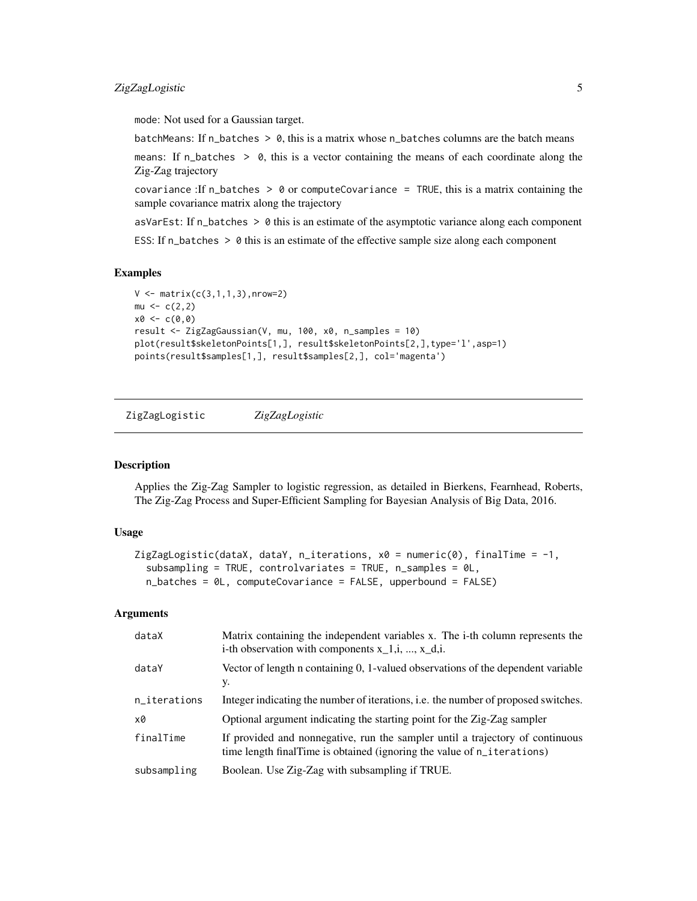<span id="page-4-0"></span>mode: Not used for a Gaussian target.

batchMeans: If  $n_b$  batches  $> 0$ , this is a matrix whose  $n_b$  batches columns are the batch means

means: If n\_batches > 0, this is a vector containing the means of each coordinate along the Zig-Zag trajectory

covariance : If n\_batches  $> 0$  or computeCovariance = TRUE, this is a matrix containing the sample covariance matrix along the trajectory

asVarEst: If  $n_b$  batches  $> 0$  this is an estimate of the asymptotic variance along each component ESS: If  $n$  batches  $> 0$  this is an estimate of the effective sample size along each component

# Examples

```
V \leq - matrix(c(3,1,1,3), nrow=2)
mu < -c(2, 2)x0 < -c(0, 0)result <- ZigZagGaussian(V, mu, 100, x0, n_samples = 10)
plot(result$skeletonPoints[1,], result$skeletonPoints[2,],type='l',asp=1)
points(result$samples[1,], result$samples[2,], col='magenta')
```
<span id="page-4-1"></span>ZigZagLogistic *ZigZagLogistic*

# **Description**

Applies the Zig-Zag Sampler to logistic regression, as detailed in Bierkens, Fearnhead, Roberts, The Zig-Zag Process and Super-Efficient Sampling for Bayesian Analysis of Big Data, 2016.

# Usage

```
ZigZagLogistic(dataX, dataY, n_iterations, x0 = numeric(0), finalTime = -1,
  subsampling = TRUE, controlvariates = TRUE, n_samples = 0L,
 n_batches = 0L, computeCovariance = FALSE, upperbound = FALSE)
```
# Arguments

| dataX        | Matrix containing the independent variables x. The i-th column represents the<br>i-th observation with components $x_1, i, , x_d, i$ .                   |
|--------------|----------------------------------------------------------------------------------------------------------------------------------------------------------|
| dataY        | Vector of length n containing 0, 1-valued observations of the dependent variable<br>у.                                                                   |
| n_iterations | Integer indicating the number of iterations, i.e. the number of proposed switches.                                                                       |
| x0           | Optional argument indicating the starting point for the Zig-Zag sampler                                                                                  |
| finalTime    | If provided and nonnegative, run the sampler until a trajectory of continuous<br>time length final Time is obtained (ignoring the value of n_iterations) |
| subsampling  | Boolean. Use Zig-Zag with subsampling if TRUE.                                                                                                           |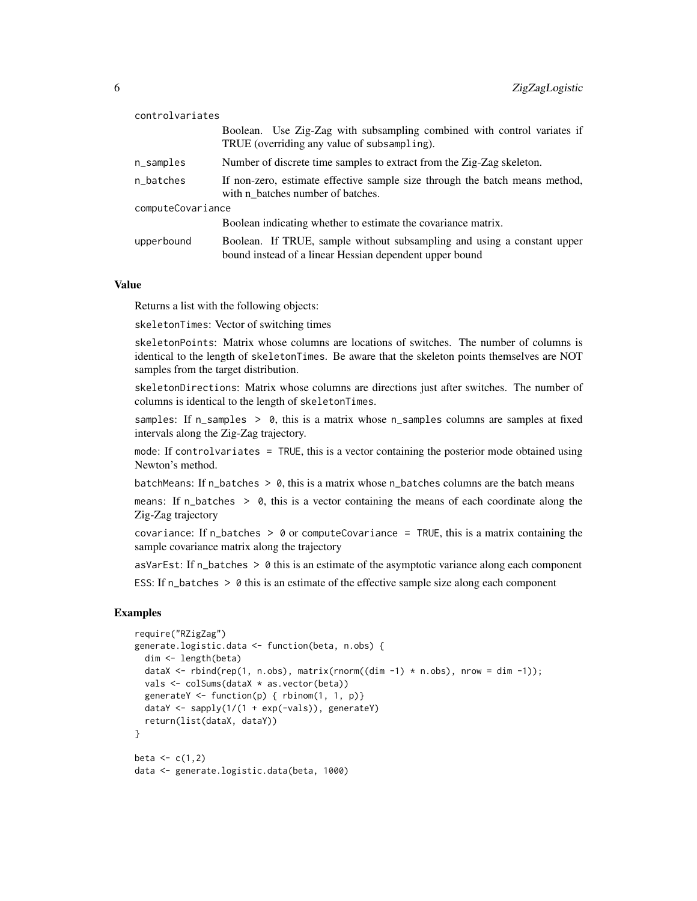| controlvariates   |                                                                                                                                    |
|-------------------|------------------------------------------------------------------------------------------------------------------------------------|
|                   | Boolean. Use Zig-Zag with subsampling combined with control variates if<br>TRUE (overriding any value of subsampling).             |
| n_samples         | Number of discrete time samples to extract from the Zig-Zag skeleton.                                                              |
| n_batches         | If non-zero, estimate effective sample size through the batch means method,<br>with n batches number of batches.                   |
| computeCovariance |                                                                                                                                    |
|                   | Boolean indicating whether to estimate the covariance matrix.                                                                      |
| upperbound        | Boolean. If TRUE, sample without subsampling and using a constant upper<br>bound instead of a linear Hessian dependent upper bound |

# Value

Returns a list with the following objects:

skeletonTimes: Vector of switching times

skeletonPoints: Matrix whose columns are locations of switches. The number of columns is identical to the length of skeletonTimes. Be aware that the skeleton points themselves are NOT samples from the target distribution.

skeletonDirections: Matrix whose columns are directions just after switches. The number of columns is identical to the length of skeletonTimes.

samples: If  $n$ \_samples  $> 0$ , this is a matrix whose  $n$ \_samples columns are samples at fixed intervals along the Zig-Zag trajectory.

mode: If controlvariates = TRUE, this is a vector containing the posterior mode obtained using Newton's method.

batchMeans: If  $n_b$  batches  $> 0$ , this is a matrix whose  $n_b$  batches columns are the batch means

means: If  $n$ -batches  $> 0$ , this is a vector containing the means of each coordinate along the Zig-Zag trajectory

covariance: If  $n$  batches  $> 0$  or computeCovariance = TRUE, this is a matrix containing the sample covariance matrix along the trajectory

asVarEst: If  $n$  batches  $> 0$  this is an estimate of the asymptotic variance along each component

ESS: If  $n$  batches  $> 0$  this is an estimate of the effective sample size along each component

# Examples

```
require("RZigZag")
generate.logistic.data <- function(beta, n.obs) {
 dim <- length(beta)
 dataX <- rbind(rep(1, n.obs), matrix(rnorm((dim -1) * n.obs), nrow = dim -1));
 vals <- colSums(dataX * as.vector(beta))
 generateY <- function(p) { rbinom(1, 1, p) }
 dataY <- sapply(1/(1 + exp(-vals)), generateY)
 return(list(dataX, dataY))
}
beta \leftarrow c(1,2)data <- generate.logistic.data(beta, 1000)
```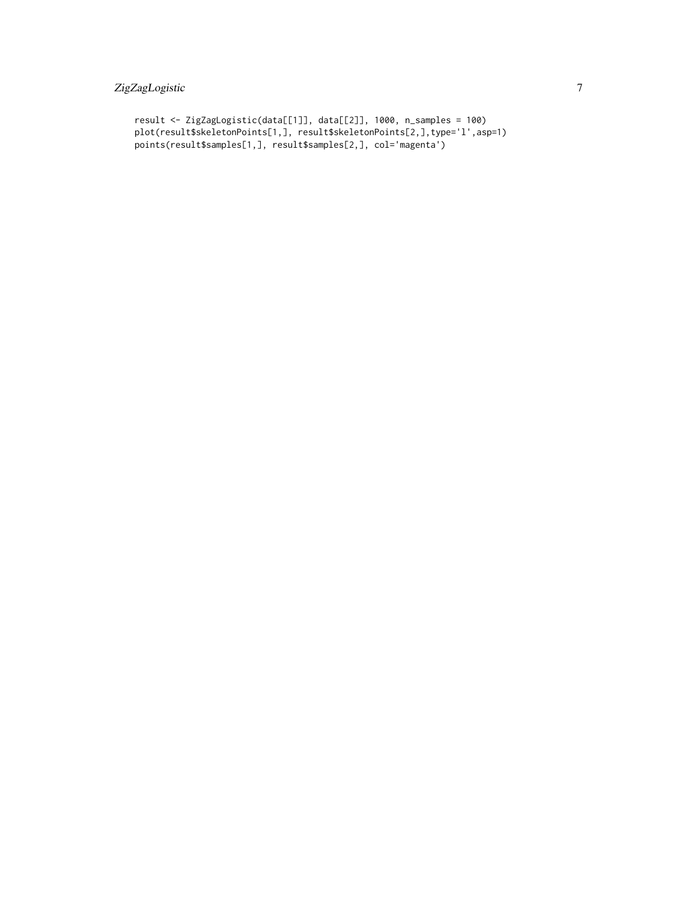# ZigZagLogistic 7

```
result <- ZigZagLogistic(data[[1]], data[[2]], 1000, n_samples = 100)
plot(result$skeletonPoints[1,], result$skeletonPoints[2,],type='l',asp=1)
points(result$samples[1,], result$samples[2,], col='magenta')
```